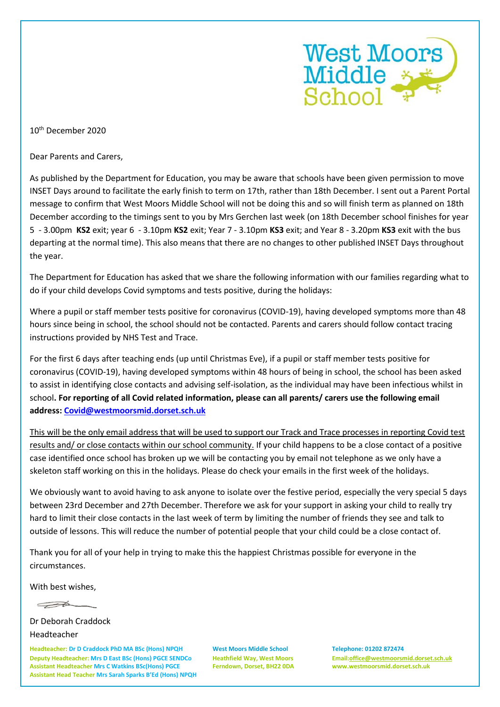

10th December 2020

Dear Parents and Carers,

As published by the Department for Education, you may be aware that schools have been given permission to move INSET Days around to facilitate the early finish to term on 17th, rather than 18th December. I sent out a Parent Portal message to confirm that West Moors Middle School will not be doing this and so will finish term as planned on 18th December according to the timings sent to you by Mrs Gerchen last week (on 18th December school finishes for year 5 - 3.00pm **KS2** exit; year 6 - 3.10pm **KS2** exit; Year 7 - 3.10pm **KS3** exit; and Year 8 - 3.20pm **KS3** exit with the bus departing at the normal time). This also means that there are no changes to other published INSET Days throughout the year.

The Department for Education has asked that we share the following information with our families regarding what to do if your child develops Covid symptoms and tests positive, during the holidays:

Where a pupil or staff member tests positive for coronavirus (COVID-19), having developed symptoms more than 48 hours since being in school, the school should not be contacted. Parents and carers should follow contact tracing instructions provided by NHS Test and Trace.

For the first 6 days after teaching ends (up until Christmas Eve), if a pupil or staff member tests positive for coronavirus (COVID-19), having developed symptoms within 48 hours of being in school, the school has been asked to assist in identifying close contacts and advising self-isolation, as the individual may have been infectious whilst in school**. For reporting of all Covid related information, please can all parents/ carers use the following email address: [Covid@westmoorsmid.dorset.sch.uk](mailto:Covid@westmoorsmid.dorset.sch.uk)**

This will be the only email address that will be used to support our Track and Trace processes in reporting Covid test results and/ or close contacts within our school community. If your child happens to be a close contact of a positive case identified once school has broken up we will be contacting you by email not telephone as we only have a skeleton staff working on this in the holidays. Please do check your emails in the first week of the holidays.

We obviously want to avoid having to ask anyone to isolate over the festive period, especially the very special 5 days between 23rd December and 27th December. Therefore we ask for your support in asking your child to really try hard to limit their close contacts in the last week of term by limiting the number of friends they see and talk to outside of lessons. This will reduce the number of potential people that your child could be a close contact of.

Thank you for all of your help in trying to make this the happiest Christmas possible for everyone in the circumstances.

With best wishes,

 $\rightarrow$ 

Dr Deborah Craddock Headteacher

**Headteacher: Dr D Craddock PhD MA BSc (Hons) NPQH West Moors Middle School Telephone: 01202 872474 Deputy Headteacher: Mrs D East BSc (Hons) PGCE SENDCo Heathfield Way, West Moors Email[:office@westmoorsmid.dorset.sch.uk](mailto:office@westmoorsmid.dorset.sch.uk) Assistant Headteacher Mrs C Watkins BSc(Hons) PGCE Ferndown, Dorset, BH22 0DA www.westmoorsmid.dorset.sch.uk Assistant Head Teacher Mrs Sarah Sparks B'Ed (Hons) NPQH**